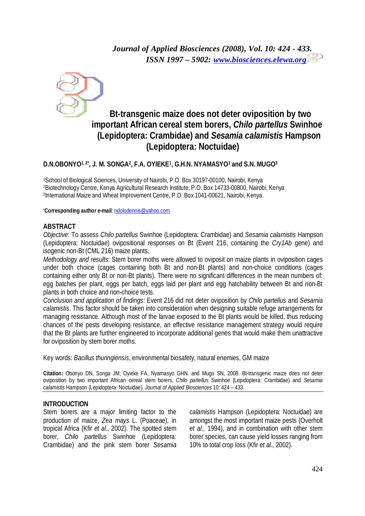

# **Bt-transgenic maize does not deter oviposition by two important African cereal stem borers,** *Chilo partellus* **Swinhoe (Lepidoptera: Crambidae) and** *Sesamia calamistis* **Hampson (Lepidoptera: Noctuidae)**

### **D.N.OBONYO1, 2\* , J. M. SONGA<sup>2</sup> , F.A. OYIEKE<sup>1</sup> , G.H.N. NYAMASYO<sup>1</sup> and S.N. MUGO<sup>3</sup>**

<sup>1</sup>School of Biological Sciences, University of Nairobi, P.O. Box 30197-00100, Nairobi, Kenya <sup>2</sup>Biotechnology Centre, Kenya Agricultural Research Institute, P.O. Box 14733-00800, Nairobi, Kenya 3 International Maize and Wheat Improvement Centre, P.O. Box 1041-00621, Nairobi, Kenya.

\***Corresponding author e-mail**: [ndolodennis@yahoo.com](mailto:ndolodennis@yahoo.com)

### **ABSTRACT**

*Objective*: To assess *Chilo partellus* Swinhoe (Lepidoptera: Crambidae) and *Sesamia calamistis* Hampson (Lepidoptera: Noctuidae) ovipositional responses on Bt (Event 216, containing the *Cry1Ab* gene) and isogenic non-Bt (CML 216) maize plants.

*Methodology and results*: Stem borer moths were allowed to oviposit on maize plants in oviposition cages under both choice (cages containing both Bt and non-Bt plants) and non-choice conditions (cages containing either only Bt or non-Bt plants). There were no significant differences in the mean numbers of: egg batches per plant, eggs per batch, eggs laid per plant and egg hatchability between Bt and non-Bt plants in both choice and non-choice tests.

*Conclusion and application of findings*: Event 216 did not deter oviposition by *Chilo partellus* and *Sesamia calamistis*. This factor should be taken into consideration when designing suitable refuge arrangements for managing resistance. Although most of the larvae exposed to the Bt plants would be killed, thus reducing chances of the pests developing resistance, an effective resistance management strategy would require that the Bt plants are further engineered to incorporate additional genes that would make them unattractive for oviposition by stem borer moths.

Key words: *Bacillus thuringiensis*, environmental biosafety, natural enemies, GM maize

**Citation:** Obonyo DN, Songa JM, Oyieke FA, Nyamasyo GHN. and Mugo SN, 2008. Bt-transgenic maize does not deter oviposition by two important African cereal stem borers, *Chilo partellus* Swinhoe (Lepidoptera: Crambidae) and *Sesamia calamistis* Hampson (Lepidoptera: Noctuidae). *Journal of Applied Biosciences* 10: 424 – 433.

### **INTRODUCTION**

Stem borers are a major limiting factor to the production of maize, *Zea mays* L. (Poaceae), in tropical Africa (Kfir *et al*., 2002). The spotted stem borer, *Chilo partellus* Swinhoe (Lepidoptera: Crambidae) and the pink stem borer *Sesamia* 

*calamistis* Hampson (Lepidoptera: Noctuidae) are amongst the most important maize pests (Overholt *et al*., 1994), and in combination with other stem borer species, can cause yield losses ranging from 10% to total crop loss (Kfir *et al*., 2002).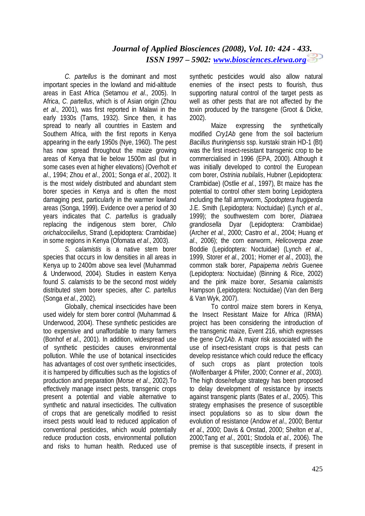*C. partellus* is the dominant and most important species in the lowland and mid-altitude areas in East Africa (Setamou *et al*., 2005). In Africa, *C. partellus*, which is of Asian origin (Zhou *et al*., 2001), was first reported in Malawi in the early 1930s (Tams, 1932). Since then, it has spread to nearly all countries in Eastern and Southern Africa, with the first reports in Kenya appearing in the early 1950s (Nye, 1960). The pest has now spread throughout the maize growing areas of Kenya that lie below 1500m asl (but in some cases even at higher elevations) (Overholt *et al*., 1994; Zhou *et al*., 2001; Songa *et al*., 2002). It is the most widely distributed and abundant stem borer species in Kenya and is often the most damaging pest, particularly in the warmer lowland areas (Songa, 1999). Evidence over a period of 30 years indicates that *C. partellus* is gradually replacing the indigenous stem borer, *Chilo orichalcociliellus*, Strand (Lepidoptera: Crambidae) in some regions in Kenya (Ofomata *et al*., 2003).

*S. calamistis* is a native stem borer species that occurs in low densities in all areas in Kenya up to 2400m above sea level (Muhammad & Underwood, 2004). Studies in eastern Kenya found *S. calamistis* to be the second most widely distributed stem borer species, after *C. partellus*  (Songa *et al*., 2002)*.* 

Globally, chemical insecticides have been used widely for stem borer control (Muhammad & Underwood, 2004). These synthetic pesticides are too expensive and unaffordable to many farmers (Bonhof *et al*., 2001). In addition, widespread use of synthetic pesticides causes environmental pollution. While the use of botanical insecticides has advantages of cost over synthetic insecticides, it is hampered by difficulties such as the logistics of production and preparation (Morse *et al*., 2002).To effectively manage insect pests, transgenic crops present a potential and viable alternative to synthetic and natural insecticides. The cultivation of crops that are genetically modified to resist insect pests would lead to reduced application of conventional pesticides, which would potentially reduce production costs, environmental pollution and risks to human health. Reduced use of

synthetic pesticides would also allow natural enemies of the insect pests to flourish, thus supporting natural control of the target pests as well as other pests that are not affected by the toxin produced by the transgene (Groot & Dicke, 2002).

Maize expressing the synthetically modified *Cry1Ab* gene from the soil bacterium *Bacillus thuringiensis* ssp. kurstaki strain HD-1 (Bt) was the first insect-resistant transgenic crop to be commercialised in 1996 (EPA, 2000). Although it was initially developed to control the European corn borer, *Ostrinia nubilalis*, Hubner (Lepidoptera: Crambidae) (Ostlie *et al*., 1997), Bt maize has the potential to control other stem boring Lepidoptera including the fall armyworm, *Spodoptera frugiperda* J.E. Smith (Lepidoptera: Noctuidae) (Lynch *et al.*, 1999); the southwestern corn borer, *Diatraea grandiosella* Dyar (Lepidoptera: Crambidae) (Archer *et al.*, 2000; Castro *et al*., 2004; Huang *et al*., 2006); the corn earworm, *Helicoverpa zeae* Boddie (Lepidoptera: Noctuidae) (Lynch *et al.*, 1999, Storer *et al*., 2001; Horner *et al*., 2003), the common stalk borer, *Papaipema nebris* Guenee (Lepidoptera: Noctuidae) (Binning & Rice, 2002) and the pink maize borer, *Sesamia calamistis* Hampson (Lepidoptera: Noctuidae) (Van den Berg & Van Wyk, 2007).

To control maize stem borers in Kenya, the Insect Resistant Maize for Africa (IRMA) project has been considering the introduction of the transgenic maize, Event 216, which expresses the gene *Cry1Ab*. A major risk associated with the use of insect-resistant crops is that pests can develop resistance which could reduce the efficacy of such crops as plant protection tools (Wolfenbarger & Phifer, 2000; Conner *et al*., 2003). The high dose/refuge strategy has been proposed to delay development of resistance by insects against transgenic plants (Bates *et al*., 2005). This strategy emphasises the presence of susceptible insect populations so as to slow down the evolution of resistance (Andow *et al*., 2000; Bentur *et al*., 2000; Davis & Onstad, 2000; Shelton *et al*., 2000;Tang *et al*., 2001; Stodola *et al*., 2006). The premise is that susceptible insects, if present in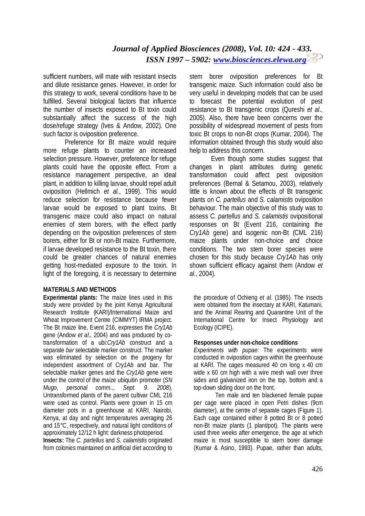sufficient numbers, will mate with resistant insects and dilute resistance genes. However, in order for this strategy to work, several conditions have to be fulfilled. Several biological factors that influence the number of insects exposed to Bt toxin could substantially affect the success of the high dose/refuge strategy (Ives & Andow, 2002). One such factor is oviposition preference.

Preference for Bt maize would require more refuge plants to counter an increased selection pressure. However, preference for refuge plants could have the opposite effect. From a resistance management perspective, an ideal plant, in addition to killing larvae, should repel adult oviposition (Hellmich *et al*., 1999). This would reduce selection for resistance because fewer larvae would be exposed to plant toxins. Bt transgenic maize could also impact on natural enemies of stem borers, with the effect partly depending on the oviposition preferences of stem borers, either for Bt or non-Bt maize. Furthermore, if larvae developed resistance to the Bt toxin, there could be greater chances of natural enemies getting host-mediated exposure to the toxin. In light of the foregoing, it is necessary to determine

### **MATERIALS AND METHODS**

**Experimental plants:** The maize lines used in this study were provided by the joint Kenya Agricultural Research Institute (KARI)/International Maize and Wheat Improvement Centre (CIMMYT) IRMA project. The Bt maize line, Event 216, expresses the *Cry1Ab* gene (Andow *et al*., 2004) and was produced by cotransformation of a ubi:*Cry1Ab* construct and a separate *bar* selectable marker construct. The marker was eliminated by selection on the progeny for independent assortment of *Cry1Ab* and bar. The selectable marker genes and the *Cry1Ab* gene were under the control of the maize ubiquitin promoter (*SN Mugo, personal comm.., Sept. 9. 2008*). Untransformed plants of the parent cultivar CML 216 were used as control. Plants were grown in 15 cm diameter pots in a greenhouse at KARI, Nairobi, Kenya, at day and night temperatures averaging 26 and 15°C, respectively, and natural light conditions of approximately 12/12 h light: darkness photoperiod.

**Insects:** The *C. partellus* and *S. calamistis* originated from colonies maintained on artificial diet according to

stem borer oviposition preferences for Bt transgenic maize. Such information could also be very useful in developing models that can be used to forecast the potential evolution of pest resistance to Bt transgenic crops (Qureshi *et al*., 2005). Also, there have been concerns over the possibility of widespread movement of pests from toxic Bt crops to non-Bt crops (Kumar, 2004). The information obtained through this study would also help to address this concern.

Even though some studies suggest that changes in plant attributes during genetic transformation could affect pest oviposition preferences (Bernal & Setamou, 2003), relatively little is known about the effects of Bt transgenic plants on *C. partellus* and *S. calamistis* oviposition behaviour. The main objective of this study was to assess *C. partellus* and *S. calamistis* ovipositional responses on Bt (Event 216, containing the *Cry1Ab* gene) and isogenic non-Bt (CML 216) maize plants under non-choice and choice conditions. The two stem borer species were chosen for this study because *Cry1Ab* has only shown sufficient efficacy against them (Andow *et al.*, 2004).

the procedure of Ochieng *et al*. (1985). The insects were obtained from the insectary at KARI, Katumani, and the Animal Rearing and Quarantine Unit of the International Centre for Insect Physiology and Ecology (ICIPE).

### **Responses under non-choice conditions**

*Experiments with pupae:* The experiments were conducted in oviposition cages within the greenhouse at KARI. The cages measured 40 cm long x 40 cm wide x 60 cm high with a wire mesh wall over three sides and galvanized iron on the top, bottom and a top-down sliding door on the front.

Ten male and ten blackened female pupae per cage were placed in open Petri dishes (9cm diameter), at the centre of separate cages (Figure 1). Each cage contained either 8 potted Bt or 8 potted non-Bt maize plants (1 plant/pot). The plants were used three weeks after emergence, the age at which maize is most susceptible to stem borer damage (Kumar & Asino, 1993). Pupae, rather than adults,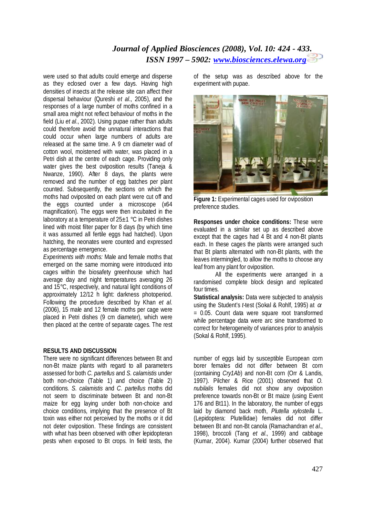were used so that adults could emerge and disperse as they eclosed over a few days. Having high densities of insects at the release site can affect their dispersal behaviour (Qureshi *et al*., 2005), and the responses of a large number of moths confined in a small area might not reflect behaviour of moths in the field (Liu *et al*., 2002). Using pupae rather than adults could therefore avoid the unnatural interactions that could occur when large numbers of adults are released at the same time. A 9 cm diameter wad of cotton wool, moistened with water, was placed in a Petri dish at the centre of each cage. Providing only water gives the best oviposition results (Taneja & Nwanze, 1990). After 8 days, the plants were removed and the number of egg batches per plant counted. Subsequently, the sections on which the moths had oviposited on each plant were cut off and the eggs counted under a microscope (x64 magnification). The eggs were then incubated in the laboratory at a temperature of  $25±1$  °C in Petri dishes lined with moist filter paper for 8 days (by which time it was assumed all fertile eggs had hatched). Upon hatching, the neonates were counted and expressed as percentage emergence.

*Experiments with moths:* Male and female moths that emerged on the same morning were introduced into cages within the biosafety greenhouse which had average day and night temperatures averaging 26 and 15°C, respectively, and natural light conditions of approximately 12/12 h light: darkness photoperiod. Following the procedure described by Khan *et al*. (2006), 15 male and 12 female moths per cage were placed in Petri dishes (9 cm diameter), which were then placed at the centre of separate cages. The rest

#### **RESULTS AND DISCUSSION**

There were no significant differences between Bt and non-Bt maize plants with regard to all parameters assessed for both *C. partellus* and *S. calamistis* under both non-choice (Table 1) and choice (Table 2) conditions. *S. calamistis* and *C. partellus* moths did not seem to discriminate between Bt and non-Bt maize for egg laying under both non-choice and choice conditions, implying that the presence of Bt toxin was either not perceived by the moths or it did not deter oviposition. These findings are consistent with what has been observed with other lepidopteran pests when exposed to Bt crops*.* In field tests, the

of the setup was as described above for the experiment with pupae.



**Figure 1:** Experimental cages used for oviposition preference studies.

**Responses under choice conditions:** These were evaluated in a similar set up as described above except that the cages had 4 Bt and 4 non-Bt plants each. In these cages the plants were arranged such that Bt plants alternated with non-Bt plants, with the leaves intermingled, to allow the moths to choose any leaf from any plant for oviposition.

All the experiments were arranged in a randomised complete block design and replicated four times.

**Statistical analysis:** Data were subjected to analysis using the Student's *t*-test (Sokal & Rohlf, 1995) at α  $= 0.05$ . Count data were square root transformed while percentage data were arc sine transformed to correct for heterogeneity of variances prior to analysis (Sokal & Rohlf, 1995).

number of eggs laid by susceptible European corn borer females did not differ between Bt corn (containing *Cry1Ab*) and non-Bt corn (Orr & Landis, 1997). Pilcher & Rice (2001) observed that *O. nubilalis* females did not show any oviposition preference towards non-Bt or Bt maize (using Event 176 and Bt11). In the laboratory, the number of eggs laid by diamond back moth, *Plutella xylostella* L. (Lepidoptera: Plutellidae) females did not differ between Bt and non-Bt canola (Ramachandran *et al*., 1998), broccoli (Tang *et al*., 1999) and cabbage (Kumar, 2004). Kumar (2004) further observed that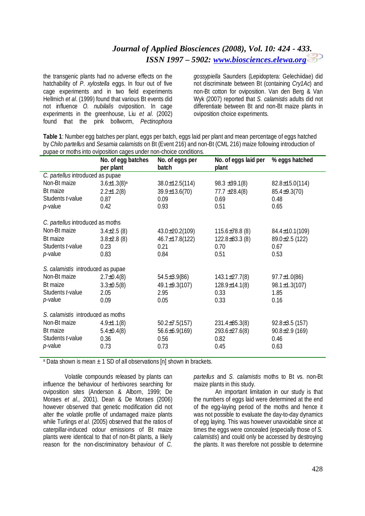the transgenic plants had no adverse effects on the hatchability of *P. xylostella* eggs. In four out of five cage experiments and in two field experiments Hellmich *et al*. (1999) found that various Bt events did not influence *O. nubilalis* oviposition. In cage experiments in the greenhouse, Liu *et al*. (2002) found that the pink bollworm, *Pectinophora*  *gossypiella* Saunders (Lepidoptera: Gelechiidae) did not discriminate between Bt (containing *Cry1Ac*) and non-Bt cotton for oviposition. Van den Berg & Van Wyk (2007) reported that *S. calamistis* adults did not differentiate between Bt and non-Bt maize plants in oviposition choice experiments.

**Table 1**: Number egg batches per plant, eggs per batch, eggs laid per plant and mean percentage of eggs hatched by *Chilo partellus* and *Sesamia calamistis* on Bt (Event 216) and non-Bt (CML 216) maize following introduction of pupae or moths into oviposition cages under non-choice conditions.

|                                   | No. of egg batches<br>per plant | No. of eggs per<br>batch | No. of eggs laid per<br>plant | % eggs hatched       |  |  |  |
|-----------------------------------|---------------------------------|--------------------------|-------------------------------|----------------------|--|--|--|
| C. partellus introduced as pupae  |                                 |                          |                               |                      |  |  |  |
| Non-Bt maize                      | $3.6 \pm 1.3(8)$ <sup>a</sup>   | 38.0±12.5(114)           | $98.3 \pm 39.1(8)$            | $82.8 \pm 15.0(114)$ |  |  |  |
| Bt maize                          | $2.2 \pm 1.2(8)$                | 39.9±13.6(70)            | $77.7 \pm 28.4(8)$            | $85.4 \pm 9.3(70)$   |  |  |  |
| Students t-value                  | 0.87                            | 0.09                     | 0.69                          | 0.48                 |  |  |  |
| $p$ -value                        | 0.42                            | 0.93                     | 0.51                          | 0.65                 |  |  |  |
| C. partellus introduced as moths  |                                 |                          |                               |                      |  |  |  |
| Non-Bt maize                      | $3.4\pm2.5(8)$                  | 43.0±20.2(109)           | $115.6\pm78.8$ (8)            | 84.4±10.1(109)       |  |  |  |
| Bt maize                          | $3.8 \pm 2.8$ (8)               | 46.7±17.8(122)           | $122.8 \pm 83.3$ (8)          | 89.0±2.5 (122)       |  |  |  |
| Students t-value                  | 0.23                            | 0.21                     | 0.70                          | 0.67                 |  |  |  |
| p-value                           | 0.83                            | 0.84                     | 0.51                          | 0.53                 |  |  |  |
| S. calamistis introduced as pupae |                                 |                          |                               |                      |  |  |  |
| Non-Bt maize                      | $2.7 \pm 0.4(8)$                | $54.5 \pm 3.9(86)$       | $143.1 \pm 27.7(8)$           | $97.7 \pm 1.0(86)$   |  |  |  |
| Bt maize                          | $3.3 \pm 0.5(8)$                | 49.1±9.3(107)            | $128.9 \pm 14.1(8)$           | $98.1 \pm 1.3(107)$  |  |  |  |
| Students t-value                  | 2.05                            | 2.95                     | 0.33                          | 1.85                 |  |  |  |
| p-value                           | 0.09                            | 0.05                     | 0.33                          | 0.16                 |  |  |  |
| S. calamistis introduced as moths |                                 |                          |                               |                      |  |  |  |
| Non-Bt maize                      | $4.9 \pm 1.1(8)$                | $50.2 \pm 7.5(157)$      | $231.4\pm85.3(8)$             | $92.8 \pm 3.5$ (157) |  |  |  |
| Bt maize                          | $5.4 \pm 0.4(8)$                | $56.6 \pm 6.9(169)$      | 293.6±27.6(8)                 | $90.8 \pm 2.9$ (169) |  |  |  |
| Students t-value                  | 0.36                            | 0.56                     | 0.82                          | 0.46                 |  |  |  |
| $p$ -value                        | 0.73                            | 0.73                     | 0.45                          | 0.63                 |  |  |  |
|                                   |                                 |                          |                               |                      |  |  |  |

<sup>a</sup> Data shown is mean  $\pm$  1 SD of all observations [n] shown in brackets.

Volatile compounds released by plants can influence the behaviour of herbivores searching for oviposition sites (Anderson & Alborn, 1999; De Moraes *et al*., 2001). Dean & De Moraes (2006) however observed that genetic modification did not alter the volatile profile of undamaged maize plants while Turlings *et al*. (2005) observed that the ratios of caterpillar-induced odour emissions of Bt maize plants were identical to that of non-Bt plants, a likely reason for the non-discriminatory behaviour of *C.* 

*partellus* and *S. calamistis* moths to Bt vs. non-Bt maize plants in this study.

An important limitation in our study is that the numbers of eggs laid were determined at the end of the egg-laying period of the moths and hence it was not possible to evaluate the day-to-day dynamics of egg laying. This was however unavoidable since at times the eggs were concealed (especially those of *S. calamistis*) and could only be accessed by destroying the plants. It was therefore not possible to determine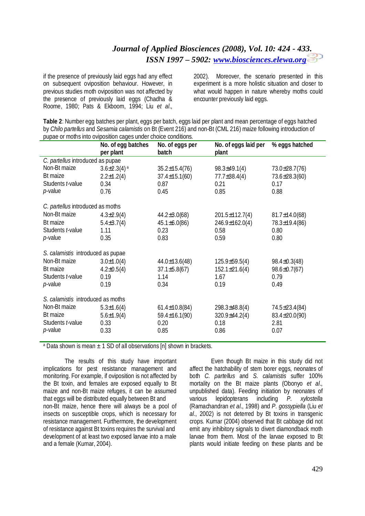if the presence of previously laid eggs had any effect on subsequent oviposition behaviour. However, in previous studies moth oviposition was not affected by the presence of previously laid eggs (Chadha & Roome, 1980; Pats & Ekboom, 1994; Liu *et al*.,

2002). Moreover, the scenario presented in this experiment is a more holistic situation and closer to what would happen in nature whereby moths could encounter previously laid eggs.

**Table 2**: Number egg batches per plant, eggs per batch, eggs laid per plant and mean percentage of eggs hatched by *Chilo partellus* and *Sesamia calamistis* on Bt (Event 216) and non-Bt (CML 216) maize following introduction of pupae or moths into oviposition cages under choice conditions.

|                                   | No. of egg batches<br>per plant | No. of eggs per<br>batch | No. of eggs laid per<br>plant | % eggs hatched      |  |  |  |
|-----------------------------------|---------------------------------|--------------------------|-------------------------------|---------------------|--|--|--|
| C. partellus introduced as pupae  |                                 |                          |                               |                     |  |  |  |
| Non-Bt maize                      | $3.6 \pm 2.3(4)$ <sup>a</sup>   | $35.2 \pm 15.4(76)$      | $98.3 \pm 49.1(4)$            | 73.0±28.7(76)       |  |  |  |
| Bt maize                          | $2.2 \pm 1.2(4)$                | $37.4 \pm 15.1(60)$      | $77.7 \pm 38.4(4)$            | 73.6±28.3(60)       |  |  |  |
| Students t-value                  | 0.34                            | 0.87                     | 0.21                          | 0.17                |  |  |  |
| <i>p</i> -value                   | 0.76                            | 0.45                     | 0.85                          | 0.88                |  |  |  |
| C. partellus introduced as moths  |                                 |                          |                               |                     |  |  |  |
| Non-Bt maize                      | $4.3 \pm 2.9(4)$                | $44.2 \pm 3.0(68)$       | 201.5±112.7(4)                | $81.7 \pm 14.0(68)$ |  |  |  |
| Bt maize                          | $5.4 \pm 3.7(4)$                | $45.1 \pm 6.0 (86)$      | 246.9±162.0(4)                | 78.3±19.4(86)       |  |  |  |
| Students t-value                  | 1.11                            | 0.23                     | 0.58                          | 0.80                |  |  |  |
| <i>p</i> -value                   | 0.35                            | 0.83                     | 0.59                          | 0.80                |  |  |  |
| S. calamistis introduced as pupae |                                 |                          |                               |                     |  |  |  |
| Non-Bt maize                      | $3.0 \pm 1.0(4)$                | $44.0 \pm 13.6(48)$      | $125.9 \pm 59.5(4)$           | $98.4 \pm 0.3(48)$  |  |  |  |
| Bt maize                          | $4.2 \pm 0.5(4)$                | $37.1 \pm 5.8(67)$       | $152.1 \pm 21.6(4)$           | $98.6 \pm 0.7(67)$  |  |  |  |
| Students t-value                  | 0.19                            | 1.14                     | 1.67                          | 0.79                |  |  |  |
| p-value                           | 0.19                            | 0.34                     | 0.19                          | 0.49                |  |  |  |
| S. calamistis introduced as moths |                                 |                          |                               |                     |  |  |  |
| Non-Bt maize                      | $5.3 \pm 1.6(4)$                | $61.4 \pm 10.8(84)$      | $298.3 \pm 48.8(4)$           | 74.5±23.4(84)       |  |  |  |
| Bt maize                          | $5.6 \pm 1.9(4)$                | $59.4 \pm 16.1(90)$      | 320.9±44.2(4)                 | $83.4 \pm 20.0(90)$ |  |  |  |
| Students t-value                  | 0.33                            | 0.20                     | 0.18                          | 2.81                |  |  |  |
| p-value                           | 0.33                            | 0.85                     | 0.86                          | 0.07                |  |  |  |

<sup>a</sup> Data shown is mean  $\pm$  1 SD of all observations [n] shown in brackets.

The results of this study have important implications for pest resistance management and monitoring. For example, if oviposition is not affected by the Bt toxin, and females are exposed equally to Bt maize and non-Bt maize refuges, it can be assumed that eggs will be distributed equally between Bt and non-Bt maize, hence there will always be a pool of insects on susceptible crops, which is necessary for resistance management. Furthermore, the development of resistance against Bt toxins requires the survival and development of at least two exposed larvae into a male and a female (Kumar, 2004).

Even though Bt maize in this study did not affect the hatchability of stem borer eggs, neonates of both *C. partellus* and *S. calamistis* suffer 100% mortality on the Bt maize plants (Obonyo *et al*., unpublished data). Feeding initiation by neonates of various lepidopterans including *P. xylostella* (Ramachandran *et al*., 1998) and *P. gossypiella* (Liu *et al*., 2002) is not deterred by Bt toxins in transgenic crops. Kumar (2004) observed that Bt cabbage did not emit any inhibitory signals to divert diamondback moth larvae from them. Most of the larvae exposed to Bt plants would initiate feeding on these plants and be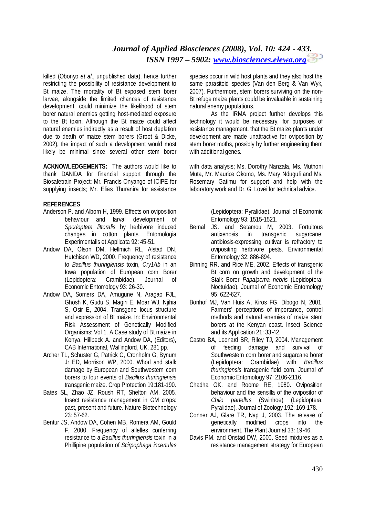killed (Obonyo *et al*., unpublished data), hence further restricting the possibility of resistance development to Bt maize. The mortality of Bt exposed stem borer larvae, alongside the limited chances of resistance development, could minimize the likelihood of stem borer natural enemies getting host-mediated exposure to the Bt toxin. Although the Bt maize could affect natural enemies indirectly as a result of host depletion due to death of maize stem borers (Groot & Dicke, 2002), the impact of such a development would most likely be minimal since several other stem borer

**ACKNOWLEDGEMENTS:** The authors would like to thank DANIDA for financial support through the Biosafetrain Project; Mr. Francis Onyango of ICIPE for supplying insects; Mr. Elias Thuranira for assistance

#### **REFERENCES**

- Anderson P. and Alborn H, 1999. Effects on oviposition behaviour and larval development of *Spodoptera littoralis* by herbivore induced changes in cotton plants. Entomologia Experimentalis et Applicata 92: 45-51.
- Andow DA, Olson DM, Hellmich RL, Alstad DN, Hutchison WD, 2000. Frequency of resistance to *Bacillus thuringiensis* toxin, *Cry1Ab* in an Iowa population of European corn Borer (Lepidoptera: Crambidae). Journal of Economic Entomology 93: 26-30.
- Andow DA, Somers DA, Amugune N, Aragao FJL, Ghosh K, Gudu S, Magiri E, Moar WJ, Njihia S, Osir E, 2004. Transgene locus structure and expression of Bt maize. In: Environmental Risk Assessment of Genetically Modified Organisms: Vol 1. A Case study of Bt maize in Kenya. Hillbeck A. and Andow DA, (Editors), CAB International, Wallingford, UK. 281 pp.
- Archer TL, Schuster G, Patrick C, Cronholm G, Bynum Jr ED, Morrison WP, 2000. Whorl and stalk damage by European and Southwestern corn borers to four events of *Bacillus thuringiensis* transgenic maize. Crop Protection 19:181-190.
- Bates SL, Zhao JZ, Roush RT, Shelton AM, 2005. Insect resistance management in GM crops: past, present and future. Nature Biotechnology 23: 57-62.
- Bentur JS, Andow DA, Cohen MB, Romera AM, Gould F, 2000. Frequency of allelles conferring resistance to a *Bacillus thuringiensis* toxin in a Phillipine population of *Scirpophaga incertulas*

species occur in wild host plants and they also host the same parasitoid species (Van den Berg & Van Wyk, 2007). Furthermore, stem borers surviving on the non-Bt refuge maize plants could be invaluable in sustaining natural enemy populations.

As the IRMA project further develops this technology it would be necessary, for purposes of resistance management, that the Bt maize plants under development are made unattractive for oviposition by stem borer moths, possibly by further engineering them with additional genes.

with data analysis; Ms. Dorothy Nanzala, Ms. Muthoni Muta, Mr. Maurice Okomo, Ms. Mary Nduguli and Ms. Rosemary Gatimu for support and help with the laboratory work and Dr. G. Lovei for technical advice.

> (Lepidoptera: Pyralidae). Journal of Economic Entomology 93: 1515-1521.

- Bernal JS. and Setamou M, 2003. Fortuitous antixenosis in transgenic sugarcane: antibiosis-expressing cultivar is refractory to ovipositing herbivore pests. Environmental Entomology 32: 886-894.
- Binning RR. and Rice ME, 2002. Effects of transgenic Bt corn on growth and development of the Stalk Borer *Papaipema nebris* (Lepidoptera: Noctuidae). Journal of Economic Entomology 95: 622-627.
- Bonhof MJ, Van Huis A, Kiros FG, Dibogo N, 2001. Farmers' perceptions of importance, control methods and natural enemies of maize stem borers at the Kenyan coast. Insect Science and its Application 21: 33-42.
- Castro BA, Leonard BR, Riley TJ, 2004. Management of feeding damage and survival of Southwestern corn borer and sugarcane borer (Lepidoptera: Crambidae) with *Bacillus thuringiensis* transgenic field corn. Journal of Economic Entomology 97: 2106-2116.
- Chadha GK. and Roome RE, 1980. Oviposition behaviour and the sensilla of the ovipositor of *Chilo partellus* (Swinhoe) (Lepidoptera: Pyralidae). Journal of Zoology 192: 169-178.
- Conner AJ, Glare TR, Nap J, 2003. The release of genetically modified crops into the environment. The Plant Journal 33: 19-46.
- Davis PM. and Onstad DW, 2000. Seed mixtures as a resistance management strategy for European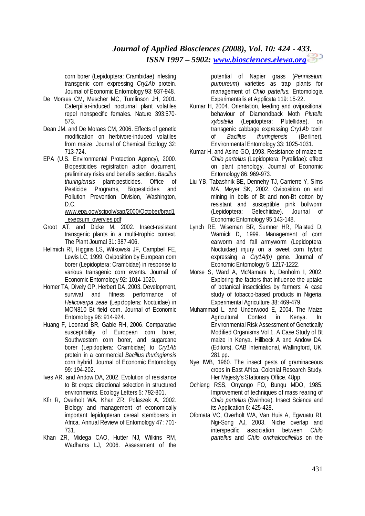corn borer (Lepidoptera: Crambidae) infesting transgenic corn expressing *Cry1Ab* protein. Journal of Economic Entomology 93: 937-948.

- De Moraes CM, Mescher MC, Tumlinson JH, 2001. Caterpillar-induced nocturnal plant volatiles repel nonspecific females. Nature 393:570- 573.
- Dean JM. and De Moraes CM, 2006. Effects of genetic modification on herbivore-induced volatiles from maize. Journal of Chemical Ecology 32: 713-724.
- EPA (U.S. Environmental Protection Agency), 2000. Biopesticides registration action document, preliminary risks and benefits section. *Bacillus thuringiensis* plant-pesticides. Office of Pesticide Programs, Biopesticides and Pollution Prevention Division, Washington, D.C.

[www.epa.gov/scipoly/sap/2000/October/brad1](http://www.epa.gov/scipoly/sap/2000/October/brad1) \_execsum\_overvies.pdf

- Groot AT. and Dicke M, 2002. Insect-resistant transgenic plants in a multi-trophic context. The Plant Journal 31: 387-406.
- Hellmich RI, Higgins LS, Witkowski JF, Campbell FE, Lewis LC, 1999. Oviposition by European corn borer (Lepidoptera: Crambidae) in response to various transgenic corn events. Journal of Economic Entomology 92: 1014-1020.
- Horner TA, Dively GP, Herbert DA, 2003. Development, survival and fitness performance of *Helicoverpa zeae* (Lepidoptera: Noctuidae) in MON810 Bt field corn. Journal of Economic Entomology 96: 914-924.
- Huang F, Leonard BR, Gable RH, 2006. Comparative susceptibility of European corn borer, Southwestern corn borer, and sugarcane borer (Lepidoptera: Crambidae) to *Cry1Ab* protein in a commercial *Bacillus thuringiensis* corn hybrid. Journal of Economic Entomology 99: 194-202.
- Ives AR. and Andow DA, 2002. Evolution of resistance to Bt crops: directional selection in structured environments. Ecology Letters 5: 792-801.
- Kfir R, Overholt WA, Khan ZR, Polaszek A, 2002. Biology and management of economically important lepidopteran cereal stemborers in Africa. Annual Review of Entomology 47: 701- 731.
- Khan ZR, Midega CAO, Hutter NJ, Wilkins RM, Wadhams LJ, 2006. Assessment of the

potential of Napier grass (*Pennisetum purpureum*) varieties as trap plants for management of *Chilo partellus.* Entomologia Experimentalis et Applicata 119: 15-22.

- Kumar H, 2004. Orientation, feeding and ovipositional behaviour of Diamondback Moth *Plutella xylostella* (Lepidoptera: Plutellidae), on transgenic cabbage expressing *Cry1Ab* toxin of *Bacillus thuringiensis* (Berliner). Environmental Entomology 33: 1025-1031.
- Kumar H. and Asino GO, 1993. Resistance of maize to *Chilo partellus* (Lepidoptera: Pyralidae): effect on plant phenology. Journal of Economic Entomology 86: 969-973.
- Liu YB, Tabashnik BE, Dennehy TJ, Carrierre Y, Sims MA, Meyer SK, 2002. Oviposition on and mining in bolls of Bt and non-Bt cotton by resistant and susceptible pink bollworm (Lepidoptera: Gelechiidae). Journal of Economic Entomology 95:143-148.
- Lynch RE, Wiseman BR, Sumner HR, Plaisted D, Warnick D, 1999. Management of corn earworm and fall armyworm (Lepidoptera: Noctuidae) injury on a sweet corn hybrid expressing a *Cry1A(b)* gene. Journal of Economic Entomology 5: 1217-1222.
- Morse S, Ward A, McNamara N, Denholm I, 2002. Exploring the factors that influence the uptake of botanical insecticides by farmers: A case study of tobacco-based products in Nigeria. Experimental Agriculture 38: 469-479.
- Muhammad L. and Underwood E, 2004. The Maize Agricultural Context in Kenya. In: Environmental Risk Assessment of Genetically Modified Organisms Vol 1. A Case Study of Bt maize in Kenya. Hillbeck A and Andow DA. (Editors), CAB International, Wallingford, UK. 281 pp.
- Nye IWB, 1960. The insect pests of graminaceous crops in East Africa. Colonial Research Study. Her Majesty's Stationary Office. 48pp.
- Ochieng RSS, Onyango FO, Bungu MDO, 1985. Improvement of techniques of mass rearing of *Chilo partellus* (Swinhoe). Insect Science and its Application 6: 425-428.
- Ofomata VC, Overholt WA, Van Huis A, Egwuatu RI, Ngi-Song AJ, 2003. Niche overlap and interspecific association between *Chilo partellus* and *Chilo orichalcociliellus* on the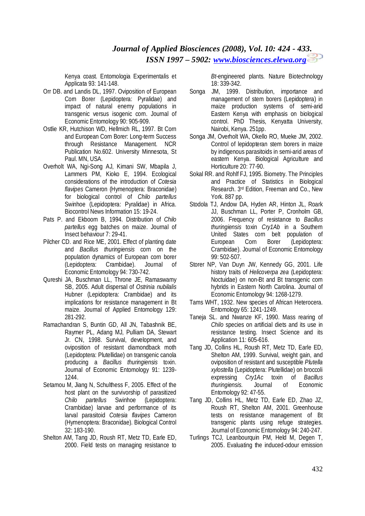Kenya coast. Entomologia Experimentalis et Applicata 93: 141-148.

- Orr DB. and Landis DL, 1997. Oviposition of European Corn Borer (Lepidoptera: Pyralidae) and impact of natural enemy populations in transgenic versus isogenic corn. Journal of Economic Entomology 90: 905-909.
- Ostlie KR, Hutchison WD, Hellmich RL, 1997. Bt Corn and European Corn Borer: Long-term Success through Resistance Management. NCR Publication No.602. University Minnesota, St Paul. MN, USA.
- Overholt WA, Ngi-Song AJ, Kimani SW, Mbapila J, Lammers PM, Kioko E, 1994. Ecological considerations of the introduction of *Cotesia flavipes* Cameron (Hymenoptera: Braconidae) for biological control of *Chilo partellus* Swinhoe (Lepidoptera: Pyralidae) in Africa. Biocontrol News Information 15: 19-24.
- Pats P. and Ekboom B, 1994. Distribution of *Chilo partellus* egg batches on maize. Journal of Insect behaviour 7: 29-41.
- Pilcher CD. and Rice ME, 2001. Effect of planting date and *Bacillus thuringiensis* corn on the population dynamics of European corn borer (Lepidoptera: Crambidae). Journal of Economic Entomology 94: 730-742.
- Qureshi JA, Buschman LL, Throne JE, Ramaswamy SB, 2005. Adult dispersal of *Ostrinia nubilalis* Hubner (Lepidoptera: Crambidae) and its implications for resistance management in Bt maize. Journal of Applied Entomology 129: 281-292.
- Ramachandran S, Buntin GD, All JN, Tabashnik BE, Raymer PL, Adang MJ, Pulliam DA, Stewart Jr. CN, 1998. Survival, development, and oviposition of resistant diamondback moth (Lepidoptera: Plutellidae) on transgenic canola producing a *Bacillus thuringiensis* toxin. Journal of Economic Entomology 91: 1239- 1244.
- Setamou M, Jiang N, Schulthess F, 2005. Effect of the host plant on the survivorship of parasitized *Chilo partellus* Swinhoe (Lepidoptera: Crambidae) larvae and performance of its larval parasitoid *Cotesia flavipes* Cameron (Hymenoptera: Braconidae). Biological Control 32: 183-190.
- Shelton AM, Tang JD, Roush RT, Metz TD, Earle ED, 2000. Field tests on managing resistance to

*Bt*-engineered plants. Nature Biotechnology 18: 339-342.

- Songa JM, 1999. Distribution, importance and management of stem borers (Lepidoptera) in maize production systems of semi-arid Eastern Kenya with emphasis on biological control. PhD Thesis, Kenyatta University, Nairobi, Kenya. 251pp.
- Songa JM, Overholt WA, Okello RO, Mueke JM, 2002. Control of lepidopteran stem borers in maize by indigenous parasitoids in semi-arid areas of eastern Kenya. Biological Agriculture and Horticulture 20: 77-90.
- Sokal RR. and Rohlf FJ, 1995. Biometry. The Principles and Practice of Statistics in Biological Research. 3rd Edition, Freeman and Co., New York. 887 pp.
- Stodola TJ, Andow DA, Hyden AR, Hinton JL, Roark JJ, Buschman LL, Porter P, Cronholm GB, 2006. Frequency of resistance to *Bacillus thuringiensis* toxin *Cry1Ab* in a Southern United States corn belt population of European Corn Borer (Lepidoptera: Crambidae). Journal of Economic Entomology 99: 502-507.
- Storer NP, Van Duyn JW, Kennedy GG, 2001. Life history traits of *Helicoverpa zea* (Lepidoptera: Noctuidae) on non-Bt and Bt transgenic corn hybrids in Eastern North Carolina. Journal of Economic Entomology 94: 1268-1279.
- Tams WHT, 1932. New species of African Heterocera. Entomology 65: 1241-1249.
- Taneja SL. and Nwanze KF, 1990. Mass rearing of *Chilo* species on artificial diets and its use in resistance testing. Insect Science and its Application 11: 605-616.
- Tang JD, Collins HL, Roush RT, Metz TD, Earle ED, Shelton AM, 1999. Survival, weight gain, and oviposition of resistant and susceptible *Plutella xylostella* (Lepidoptera: Plutellidae) on broccoli expressing *Cry1Ac* toxin of *Bacillus thuringiensis*. Journal of Economic Entomology 92: 47-55.
- Tang JD, Collins HL, Metz TD, Earle ED, Zhao JZ, Roush RT, Shelton AM, 2001. Greenhouse tests on resistance management of Bt transgenic plants using refuge strategies. Journal of Economic Entomology 94: 240-247.
- Turlings TCJ, Leanbourquin PM, Held M, Degen T, 2005. Evaluating the induced-odour emission